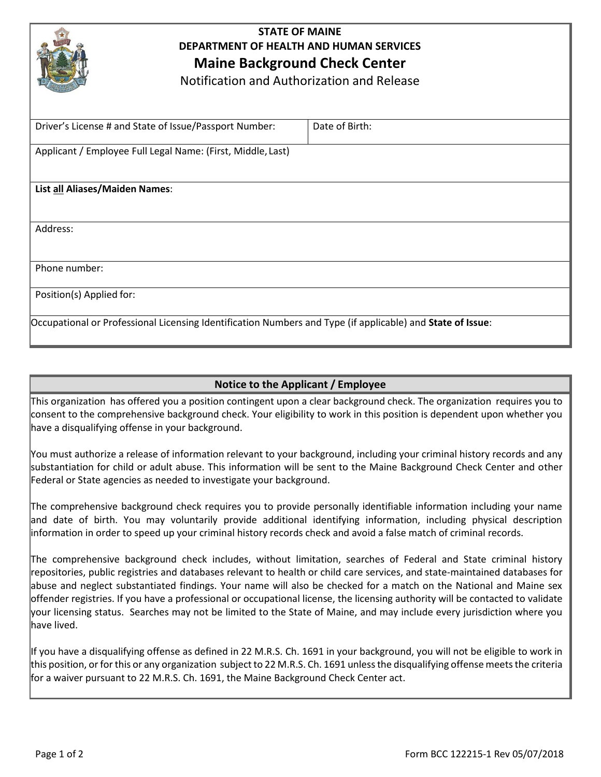

## **STATE OF MAINE DEPARTMENT OF HEALTH AND HUMAN SERVICES Maine Background Check Center**

Notification and Authorization and Release

| Driver's License # and State of Issue/Passport Number:                                                     | Date of Birth: |  |  |  |  |
|------------------------------------------------------------------------------------------------------------|----------------|--|--|--|--|
| Applicant / Employee Full Legal Name: (First, Middle, Last)                                                |                |  |  |  |  |
|                                                                                                            |                |  |  |  |  |
| List all Aliases/Maiden Names:                                                                             |                |  |  |  |  |
|                                                                                                            |                |  |  |  |  |
| Address:                                                                                                   |                |  |  |  |  |
|                                                                                                            |                |  |  |  |  |
| Phone number:                                                                                              |                |  |  |  |  |
| Position(s) Applied for:                                                                                   |                |  |  |  |  |
| Occupational or Professional Licensing Identification Numbers and Type (if applicable) and State of Issue: |                |  |  |  |  |

### **Notice to the Applicant / Employee**

This organization has offered you a position contingent upon a clear background check. The organization requires you to consent to the comprehensive background check. Your eligibility to work in this position is dependent upon whether you have a disqualifying offense in your background.

You must authorize a release of information relevant to your background, including your criminal history records and any substantiation for child or adult abuse. This information will be sent to the Maine Background Check Center and other Federal or State agencies as needed to investigate your background.

The comprehensive background check requires you to provide personally identifiable information including your name and date of birth. You may voluntarily provide additional identifying information, including physical description information in order to speed up your criminal history records check and avoid a false match of criminal records.

The comprehensive background check includes, without limitation, searches of Federal and State criminal history repositories, public registries and databases relevant to health or child care services, and state-maintained databases for abuse and neglect substantiated findings. Your name will also be checked for a match on the National and Maine sex offender registries. If you have a professional or occupational license, the licensing authority will be contacted to validate your licensing status. Searches may not be limited to the State of Maine, and may include every jurisdiction where you have lived.

If you have a disqualifying offense as defined in 22 M.R.S. Ch. 1691 in your background, you will not be eligible to work in this position, or for this or any organization subject to 22 M.R.S. Ch. 1691 unless the disqualifying offense meets the criteria for a waiver pursuant to 22 M.R.S. Ch. 1691, the Maine Background Check Center act.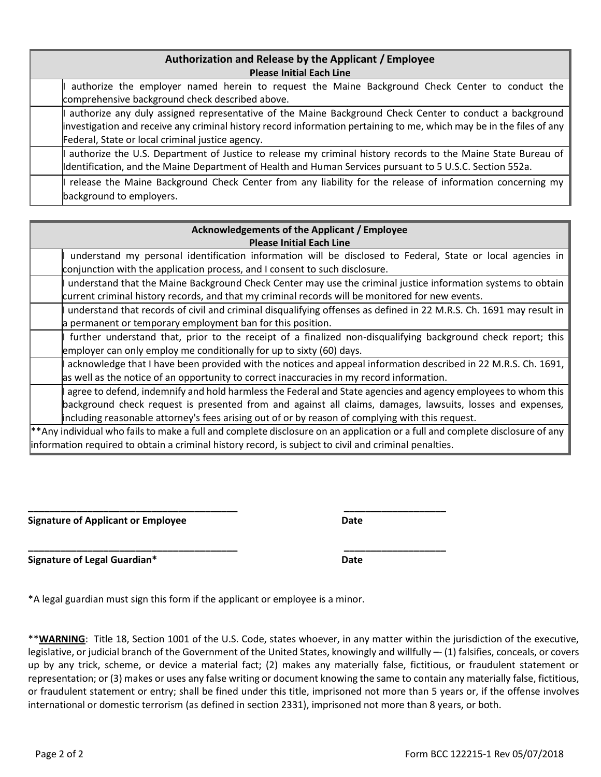| Authorization and Release by the Applicant / Employee<br><b>Please Initial Each Line</b> |                                                                                                                                                                                                                                                                                     |  |  |  |  |  |
|------------------------------------------------------------------------------------------|-------------------------------------------------------------------------------------------------------------------------------------------------------------------------------------------------------------------------------------------------------------------------------------|--|--|--|--|--|
|                                                                                          | authorize the employer named herein to request the Maine Background Check Center to conduct the<br>comprehensive background check described above.                                                                                                                                  |  |  |  |  |  |
|                                                                                          | authorize any duly assigned representative of the Maine Background Check Center to conduct a background<br>investigation and receive any criminal history record information pertaining to me, which may be in the files of any<br>Federal, State or local criminal justice agency. |  |  |  |  |  |
|                                                                                          | authorize the U.S. Department of Justice to release my criminal history records to the Maine State Bureau of<br>Identification, and the Maine Department of Health and Human Services pursuant to 5 U.S.C. Section 552a.                                                            |  |  |  |  |  |
|                                                                                          | release the Maine Background Check Center from any liability for the release of information concerning my                                                                                                                                                                           |  |  |  |  |  |

| <b>Acknowledgements of the Applicant / Employee</b>                                                                          |  |  |  |  |  |
|------------------------------------------------------------------------------------------------------------------------------|--|--|--|--|--|
| <b>Please Initial Each Line</b>                                                                                              |  |  |  |  |  |
| understand my personal identification information will be disclosed to Federal, State or local agencies in                   |  |  |  |  |  |
| conjunction with the application process, and I consent to such disclosure.                                                  |  |  |  |  |  |
| understand that the Maine Background Check Center may use the criminal justice information systems to obtain                 |  |  |  |  |  |
| current criminal history records, and that my criminal records will be monitored for new events.                             |  |  |  |  |  |
| understand that records of civil and criminal disqualifying offenses as defined in 22 M.R.S. Ch. 1691 may result in          |  |  |  |  |  |
| a permanent or temporary employment ban for this position.                                                                   |  |  |  |  |  |
| further understand that, prior to the receipt of a finalized non-disqualifying background check report; this                 |  |  |  |  |  |
| employer can only employ me conditionally for up to sixty (60) days.                                                         |  |  |  |  |  |
| acknowledge that I have been provided with the notices and appeal information described in 22 M.R.S. Ch. 1691,               |  |  |  |  |  |
| as well as the notice of an opportunity to correct inaccuracies in my record information.                                    |  |  |  |  |  |
| agree to defend, indemnify and hold harmless the Federal and State agencies and agency employees to whom this                |  |  |  |  |  |
| background check request is presented from and against all claims, damages, lawsuits, losses and expenses,                   |  |  |  |  |  |
| including reasonable attorney's fees arising out of or by reason of complying with this request.                             |  |  |  |  |  |
| **Any individual who fails to make a full and complete disclosure on an application or a full and complete disclosure of any |  |  |  |  |  |
| information required to obtain a criminal history record, is subject to civil and criminal penalties.                        |  |  |  |  |  |

**\_\_\_\_\_\_\_\_\_\_\_\_\_\_\_\_\_\_\_\_\_\_\_\_\_\_\_\_\_\_\_\_\_\_\_\_\_\_\_ \_\_\_\_\_\_\_\_\_\_\_\_\_\_\_\_\_\_\_ Signature of Applicant or Employee <b>Date Date** 

background to employers.

**Signature of Legal Guardian\* Date**

\*A legal guardian must sign this form if the applicant or employee is a minor.

\*\***WARNING**: Title 18, Section 1001 of the U.S. Code, states whoever, in any matter within the jurisdiction of the executive, legislative, or judicial branch of the Government of the United States, knowingly and willfully –- (1) falsifies, conceals, or covers up by any trick, scheme, or device a material fact; (2) makes any materially false, fictitious, or fraudulent statement or representation; or (3) makes or uses any false writing or document knowing the same to contain any materially false, fictitious, or fraudulent statement or entry; shall be fined under this title, imprisoned not more than 5 years or, if the offense involves international or domestic terrorism (as defined in section 2331), imprisoned not more than 8 years, or both.

**\_\_\_\_\_\_\_\_\_\_\_\_\_\_\_\_\_\_\_\_\_\_\_\_\_\_\_\_\_\_\_\_\_\_\_\_\_\_\_ \_\_\_\_\_\_\_\_\_\_\_\_\_\_\_\_\_\_\_**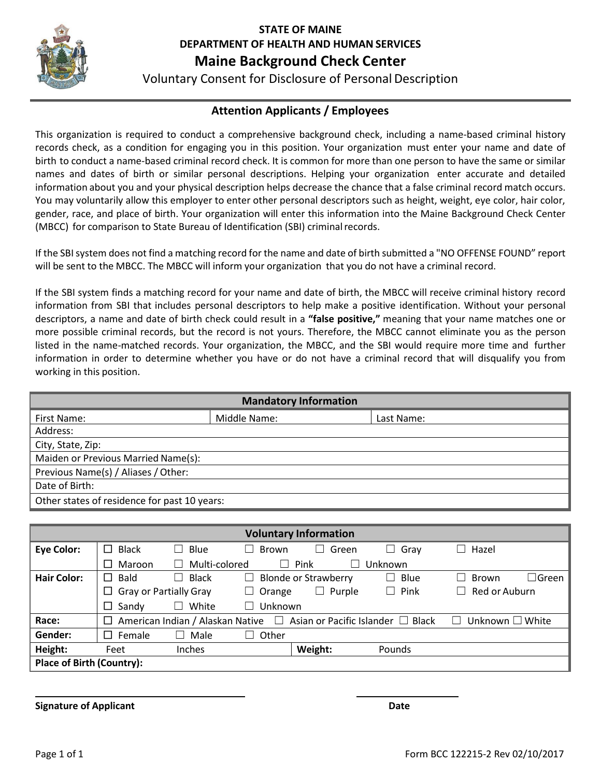

# **STATE OF MAINE DEPARTMENT OF HEALTH AND HUMAN SERVICES**

# **Maine Background Check Center**

Voluntary Consent for Disclosure of PersonalDescription

## **Attention Applicants / Employees**

This organization is required to conduct a comprehensive background check, including a name-based criminal history records check, as a condition for engaging you in this position. Your organization must enter your name and date of birth to conduct a name-based criminal record check. It is common for more than one person to have the same or similar names and dates of birth or similar personal descriptions. Helping your organization enter accurate and detailed information about you and your physical description helps decrease the chance that a false criminal record match occurs. You may voluntarily allow this employer to enter other personal descriptors such as height, weight, eye color, hair color, gender, race, and place of birth. Your organization will enter this information into the Maine Background Check Center (MBCC) for comparison to State Bureau of Identification (SBI) criminal records.

If the SBI system does not find a matching record for the name and date of birth submitted a "NO OFFENSE FOUND" report will be sent to the MBCC. The MBCC will inform your organization that you do not have a criminal record.

If the SBI system finds a matching record for your name and date of birth, the MBCC will receive criminal history record information from SBI that includes personal descriptors to help make a positive identification. Without your personal descriptors, a name and date of birth check could result in a **"false positive,"** meaning that your name matches one or more possible criminal records, but the record is not yours. Therefore, the MBCC cannot eliminate you as the person listed in the name-matched records. Your organization, the MBCC, and the SBI would require more time and further information in order to determine whether you have or do not have a criminal record that will disqualify you from working in this position.

| <b>Mandatory Information</b>                 |              |            |  |  |  |  |  |
|----------------------------------------------|--------------|------------|--|--|--|--|--|
| First Name:                                  | Middle Name: | Last Name: |  |  |  |  |  |
| Address:                                     |              |            |  |  |  |  |  |
| City, State, Zip:                            |              |            |  |  |  |  |  |
| Maiden or Previous Married Name(s):          |              |            |  |  |  |  |  |
| Previous Name(s) / Aliases / Other:          |              |            |  |  |  |  |  |
| Date of Birth:                               |              |            |  |  |  |  |  |
| Other states of residence for past 10 years: |              |            |  |  |  |  |  |

| <b>Voluntary Information</b>     |                                                                                                                      |                               |                                           |                             |                |       |              |  |  |
|----------------------------------|----------------------------------------------------------------------------------------------------------------------|-------------------------------|-------------------------------------------|-----------------------------|----------------|-------|--------------|--|--|
| <b>Eye Color:</b>                | <b>Black</b>                                                                                                         | $\Box$ Blue                   | Brown<br>$\vert \ \ \vert$                | Green<br>ட                  | Gray<br>$\Box$ | Hazel |              |  |  |
|                                  | Maroon                                                                                                               | Multi-colored<br>$\perp$      |                                           | Pink<br>$\mathbf{I}$        | Unknown        |       |              |  |  |
| <b>Hair Color:</b>               | Bald                                                                                                                 | Black<br>$\Box$               | $\Box$                                    | <b>Blonde or Strawberry</b> | Blue           | Brown | $\Box$ Green |  |  |
|                                  |                                                                                                                      | <b>Gray or Partially Gray</b> | $\Box$ Pink<br>Purple<br>Orange<br>ட<br>ш |                             | Red or Auburn  |       |              |  |  |
|                                  | Sandy                                                                                                                | White<br>Ш                    | Unknown<br>$\vert \ \ \vert$              |                             |                |       |              |  |  |
| Race:                            | American Indian / Alaskan Native $\Box$ Asian or Pacific Islander $\Box$ Black<br>Unknown $\square$ White<br>$\perp$ |                               |                                           |                             |                |       |              |  |  |
| Gender:                          | Female                                                                                                               | Male                          | Other<br>$\perp$                          |                             |                |       |              |  |  |
| Height:                          | Feet                                                                                                                 | <b>Inches</b>                 |                                           | Weight:                     | Pounds         |       |              |  |  |
| <b>Place of Birth (Country):</b> |                                                                                                                      |                               |                                           |                             |                |       |              |  |  |

**Signature of Applicant Date**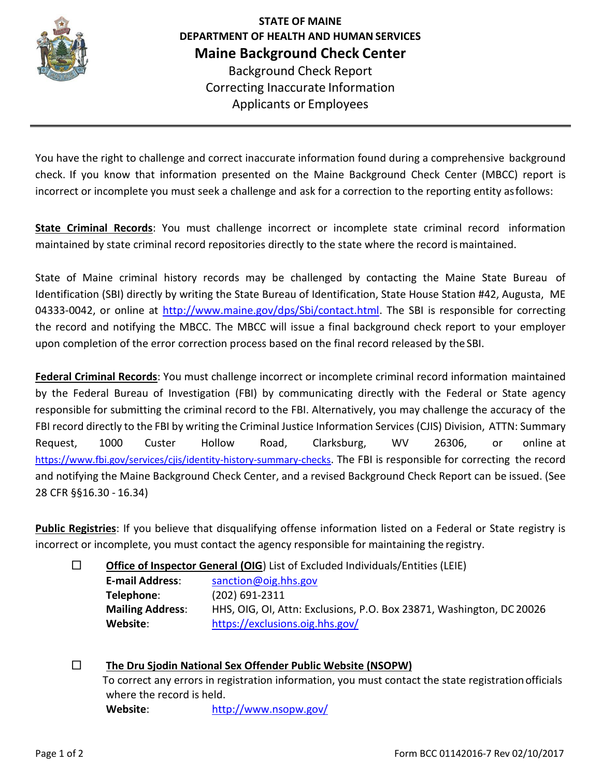

**STATE OF MAINE DEPARTMENT OF HEALTH AND HUMAN SERVICES Maine Background Check Center** Background Check Report Correcting Inaccurate Information Applicants or Employees

You have the right to challenge and correct inaccurate information found during a comprehensive background check. If you know that information presented on the Maine Background Check Center (MBCC) report is incorrect or incomplete you must seek a challenge and ask for a correction to the reporting entity asfollows:

**State Criminal Records**: You must challenge incorrect or incomplete state criminal record information maintained by state criminal record repositories directly to the state where the record ismaintained.

State of Maine criminal history records may be challenged by contacting the Maine State Bureau of Identification (SBI) directly by writing the State Bureau of Identification, State House Station #42, Augusta, ME 04333-0042, or online at [http://www.maine.gov/dps/Sbi/contact.html.](http://www.maine.gov/dps/Sbi/contact.html) The SBI is responsible for correcting the record and notifying the MBCC. The MBCC will issue a final background check report to your employer upon completion of the error correction process based on the final record released by the SBI.

**Federal Criminal Records**: You must challenge incorrect or incomplete criminal record information maintained by the Federal Bureau of Investigation (FBI) by communicating directly with the Federal or State agency responsible for submitting the criminal record to the FBI. Alternatively, you may challenge the accuracy of the FBI record directly to the FBI by writing the Criminal Justice Information Services (CJIS) Division, ATTN: Summary Request, 1000 Custer Hollow Road, Clarksburg, WV 26306, or online at <https://www.fbi.gov/services/cjis/identity-history-summary-checks>. The FBI is responsible for correcting the record and notifying the Maine Background Check Center, and a revised Background Check Report can be issued. (See 28 CFR §§16.30 - 16.34)

**Public Registries**: If you believe that disqualifying offense information listed on a Federal or State registry is incorrect or incomplete, you must contact the agency responsible for maintaining the registry.

□ **Office of Inspector General (OIG**) List of Excluded Individuals/Entities (LEIE)

**E-mail Address**: [sanction@oig.hhs.gov](mailto:sanction@oig.hhs.gov) **Telephone**: (202) 691-2311 **Mailing Address**: HHS, OIG, OI, Attn: Exclusions, P.O. Box 23871, Washington, DC 20026 **Website**: <https://exclusions.oig.hhs.gov/>

□ **The Dru Sjodin National Sex Offender Public Website (NSOPW)** To correct any errors in registration information, you must contact the state registrationofficials where the record is held. **Website**: <http://www.nsopw.gov/>